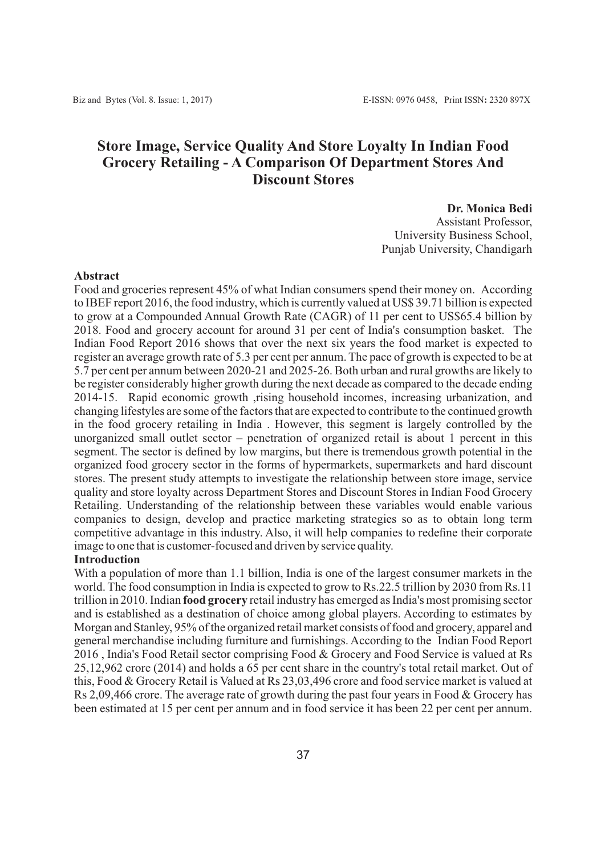# **Store Image, Service Quality And Store Loyalty In Indian Food Grocery Retailing - A Comparison Of Department Stores And Discount Stores**

#### **Dr. Monica Bedi**

Assistant Professor, University Business School, Punjab University, Chandigarh

#### **Abstract**

Food and groceries represent 45% of what Indian consumers spend their money on. According to IBEF report 2016, the food industry, which is currently valued at US\$ 39.71 billion is expected to grow at a Compounded Annual Growth Rate (CAGR) of 11 per cent to US\$65.4 billion by 2018. Food and grocery account for around 31 per cent of India's consumption basket. The Indian Food Report 2016 shows that over the next six years the food market is expected to register an average growth rate of 5.3 per cent per annum. The pace of growth is expected to be at 5.7 per cent per annum between 2020-21 and 2025-26. Both urban and rural growths are likely to be register considerably higher growth during the next decade as compared to the decade ending 2014-15. Rapid economic growth ,rising household incomes, increasing urbanization, and changing lifestyles are some of the factors that are expected to contribute to the continued growth in the food grocery retailing in India . However, this segment is largely controlled by the unorganized small outlet sector – penetration of organized retail is about 1 percent in this segment. The sector is defined by low margins, but there is tremendous growth potential in the organized food grocery sector in the forms of hypermarkets, supermarkets and hard discount stores. The present study attempts to investigate the relationship between store image, service quality and store loyalty across Department Stores and Discount Stores in Indian Food Grocery Retailing. Understanding of the relationship between these variables would enable various companies to design, develop and practice marketing strategies so as to obtain long term competitive advantage in this industry. Also, it will help companies to redefine their corporate image to one that is customer-focused and driven by service quality.

#### **Introduction**

With a population of more than 1.1 billion, India is one of the largest consumer markets in the world. The food consumption in India is expected to grow to Rs.22.5 trillion by 2030 from Rs.11 trillion in 2010. Indian **food grocery** retail industry has emerged as India's most promising sector and is established as a destination of choice among global players. According to estimates by Morgan and Stanley, 95% of the organized retail market consists of food and grocery, apparel and general merchandise including furniture and furnishings. According to the Indian Food Report 2016 , India's Food Retail sector comprising Food & Grocery and Food Service is valued at Rs 25,12,962 crore (2014) and holds a 65 per cent share in the country's total retail market. Out of this, Food & Grocery Retail is Valued at Rs 23,03,496 crore and food service market is valued at Rs 2,09,466 crore. The average rate of growth during the past four years in Food & Grocery has been estimated at 15 per cent per annum and in food service it has been 22 per cent per annum.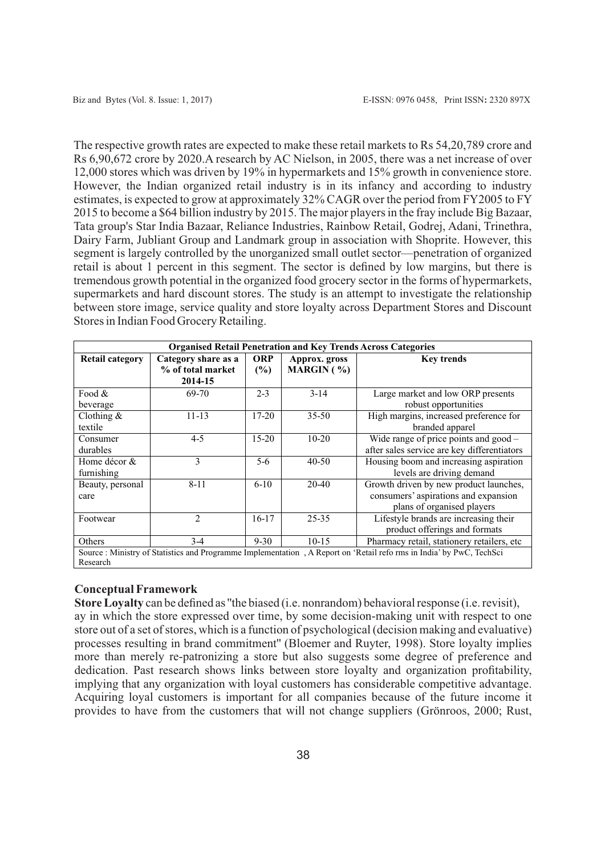The respective growth rates are expected to make these retail markets to Rs 54,20,789 crore and Rs 6,90,672 crore by 2020.A research by AC Nielson, in 2005, there was a net increase of over 12,000 stores which was driven by 19% in hypermarkets and 15% growth in convenience store. However, the Indian organized retail industry is in its infancy and according to industry estimates, is expected to grow at approximately 32% CAGR over the period from FY2005 to FY 2015 to become a \$64 billion industry by 2015. The major players in the fray include Big Bazaar, Tata group's Star India Bazaar, Reliance Industries, Rainbow Retail, Godrej, Adani, Trinethra, Dairy Farm, Jubliant Group and Landmark group in association with Shoprite. However, this segment is largely controlled by the unorganized small outlet sector—penetration of organized retail is about 1 percent in this segment. The sector is defined by low margins, but there is tremendous growth potential in the organized food grocery sector in the forms of hypermarkets, supermarkets and hard discount stores. The study is an attempt to investigate the relationship between store image, service quality and store loyalty across Department Stores and Discount Stores in Indian Food Grocery Retailing.

| <b>Organised Retail Penetration and Key Trends Across Categories</b>                                               |                     |            |               |                                             |  |  |
|--------------------------------------------------------------------------------------------------------------------|---------------------|------------|---------------|---------------------------------------------|--|--|
| <b>Retail category</b>                                                                                             | Category share as a | <b>ORP</b> | Approx. gross | <b>Key trends</b>                           |  |  |
|                                                                                                                    | % of total market   | (%)        | MARGIN $( %)$ |                                             |  |  |
|                                                                                                                    | 2014-15             |            |               |                                             |  |  |
| Food $&$                                                                                                           | 69-70               | $2 - 3$    | $3 - 14$      | Large market and low ORP presents           |  |  |
| beverage                                                                                                           |                     |            |               | robust opportunities                        |  |  |
| Clothing $\&$                                                                                                      | $11 - 13$           | $17 - 20$  | $35 - 50$     | High margins, increased preference for      |  |  |
| textile                                                                                                            |                     |            |               | branded apparel                             |  |  |
| Consumer                                                                                                           | $4 - 5$             | $15 - 20$  | $10-20$       | Wide range of price points and $good$       |  |  |
| durables                                                                                                           |                     |            |               | after sales service are key differentiators |  |  |
| Home décor &                                                                                                       | 3                   | 5-6        | $40 - 50$     | Housing boom and increasing aspiration      |  |  |
| furnishing                                                                                                         |                     |            |               | levels are driving demand                   |  |  |
| Beauty, personal                                                                                                   | $8 - 11$            | $6-10$     | $20 - 40$     | Growth driven by new product launches,      |  |  |
| care                                                                                                               |                     |            |               | consumers' aspirations and expansion        |  |  |
|                                                                                                                    |                     |            |               | plans of organised players                  |  |  |
| Footwear                                                                                                           | 2                   | $16-17$    | 25-35         | Lifestyle brands are increasing their       |  |  |
|                                                                                                                    |                     |            |               | product offerings and formats               |  |  |
| Others                                                                                                             | 3-4                 | $9 - 30$   | $10-15$       | Pharmacy retail, stationery retailers, etc  |  |  |
| Source: Ministry of Statistics and Programme Implementation, A Report on 'Retail reforms in India' by PwC, TechSci |                     |            |               |                                             |  |  |
| Research                                                                                                           |                     |            |               |                                             |  |  |

# **Conceptual Framework**

**Store Loyalty** can be defined as ''the biased (i.e. nonrandom) behavioral response (i.e. revisit), ay in which the store expressed over time, by some decision-making unit with respect to one store out of a set of stores, which is a function of psychological (decision making and evaluative) processes resulting in brand commitment'' (Bloemer and Ruyter, 1998). Store loyalty implies more than merely re-patronizing a store but also suggests some degree of preference and dedication. Past research shows links between store loyalty and organization profitability, implying that any organization with loyal customers has considerable competitive advantage. Acquiring loyal customers is important for all companies because of the future income it provides to have from the customers that will not change suppliers (Grönroos, 2000; Rust,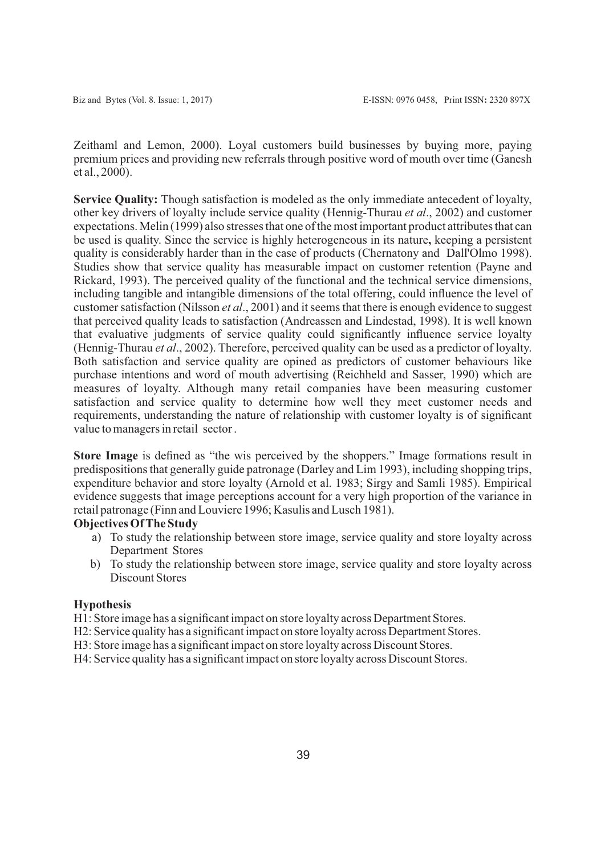Zeithaml and Lemon, 2000). Loyal customers build businesses by buying more, paying premium prices and providing new referrals through positive word of mouth over time (Ganesh et al., 2000).

**Service Quality:** Though satisfaction is modeled as the only immediate antecedent of loyalty, other key drivers of loyalty include service quality (Hennig-Thurau *et al*., 2002) and customer expectations. Melin (1999) also stresses that one of the most important product attributes that can be used is quality. Since the service is highly heterogeneous in its nature**,** keeping a persistent quality is considerably harder than in the case of products (Chernatony and Dall'Olmo 1998). Studies show that service quality has measurable impact on customer retention (Payne and Rickard, 1993). The perceived quality of the functional and the technical service dimensions, including tangible and intangible dimensions of the total offering, could influence the level of customer satisfaction (Nilsson *et al*., 2001) and it seems that there is enough evidence to suggest that perceived quality leads to satisfaction (Andreassen and Lindestad, 1998). It is well known that evaluative judgments of service quality could significantly influence service loyalty (Hennig-Thurau *et al*., 2002). Therefore, perceived quality can be used as a predictor of loyalty. Both satisfaction and service quality are opined as predictors of customer behaviours like purchase intentions and word of mouth advertising (Reichheld and Sasser, 1990) which are measures of loyalty. Although many retail companies have been measuring customer satisfaction and service quality to determine how well they meet customer needs and requirements, understanding the nature of relationship with customer loyalty is of significant value to managers in retail sector .

**Store Image** is defined as "the wis perceived by the shoppers." Image formations result in predispositions that generally guide patronage (Darley and Lim 1993), including shopping trips, expenditure behavior and store loyalty (Arnold et al. 1983; Sirgy and Samli 1985). Empirical evidence suggests that image perceptions account for a very high proportion of the variance in retail patronage (Finn and Louviere 1996; Kasulis and Lusch 1981).

# **Objectives Of The Study**

- a) To study the relationship between store image, service quality and store loyalty across Department Stores
- b) To study the relationship between store image, service quality and store loyalty across Discount Stores

# **Hypothesis**

H1: Store image has a significant impact on store loyalty across Department Stores.

- H2: Service quality has a significant impact on store loyalty across Department Stores.
- H3: Store image has a significant impact on store loyalty across Discount Stores.
- H4: Service quality has a significant impact on store loyalty across Discount Stores.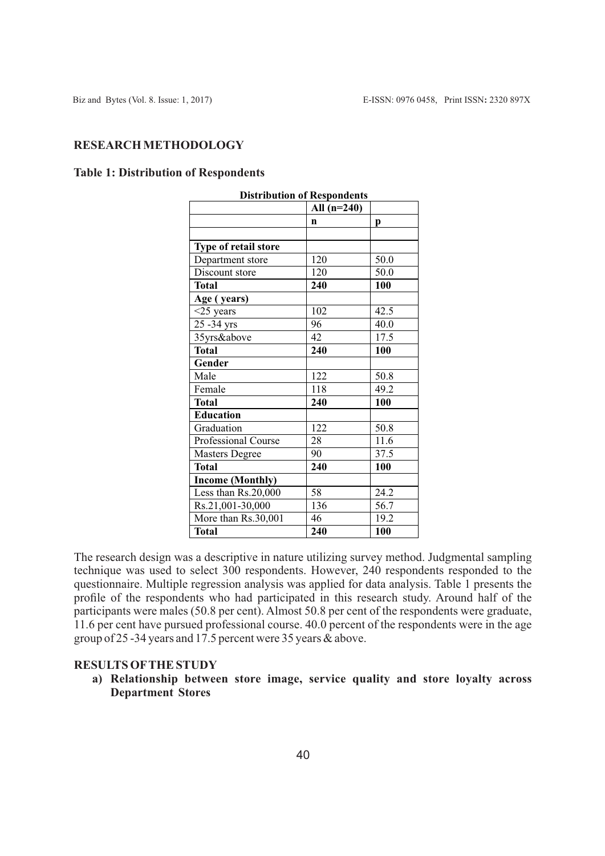# **RESEARCH METHODOLOGY**

# **Table 1: Distribution of Respondents**

| <b>Distribution of Respondents</b> |               |      |  |  |
|------------------------------------|---------------|------|--|--|
|                                    | All $(n=240)$ |      |  |  |
|                                    | $\mathbf n$   | p    |  |  |
|                                    |               |      |  |  |
| Type of retail store               |               |      |  |  |
| Department store                   | 120           | 50.0 |  |  |
| Discount store                     | 120           | 50.0 |  |  |
| <b>Total</b>                       | 240           | 100  |  |  |
| Age (years)                        |               |      |  |  |
| $<$ 25 years                       | 102           | 42.5 |  |  |
| 25 - 34 yrs                        | 96            | 40.0 |  |  |
| 35yrs&above                        | 42            | 17.5 |  |  |
| <b>Total</b>                       | 240           | 100  |  |  |
| Gender                             |               |      |  |  |
| Male                               | 122           | 50.8 |  |  |
| Female                             | 118           | 49.2 |  |  |
| <b>Total</b>                       | 240           | 100  |  |  |
| Education                          |               |      |  |  |
| Graduation                         | 122           | 50.8 |  |  |
| Professional Course                | 28            | 11.6 |  |  |
| <b>Masters Degree</b>              | 90            | 37.5 |  |  |
| <b>Total</b>                       | 240           | 100  |  |  |
| <b>Income (Monthly)</b>            |               |      |  |  |
| Less than Rs.20,000                | 58            | 24.2 |  |  |
| Rs.21,001-30,000                   | 136           | 56.7 |  |  |
| More than Rs.30,001                | 46            | 19.2 |  |  |
| <b>Total</b>                       | 240           | 100  |  |  |

The research design was a descriptive in nature utilizing survey method. Judgmental sampling technique was used to select 300 respondents. However, 240 respondents responded to the questionnaire. Multiple regression analysis was applied for data analysis. Table 1 presents the profile of the respondents who had participated in this research study. Around half of the participants were males (50.8 per cent). Almost 50.8 per cent of the respondents were graduate, 11.6 per cent have pursued professional course. 40.0 percent of the respondents were in the age group of 25 -34 years and 17.5 percent were 35 years & above.

## **RESULTS OFTHE STUDY**

**a) Relationship between store image, service quality and store loyalty across Department Stores**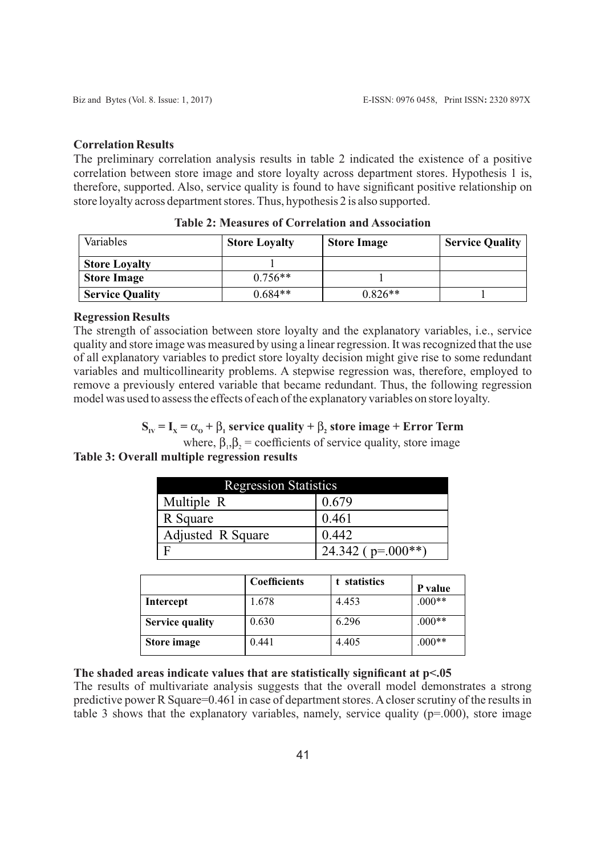#### **Correlation Results**

The preliminary correlation analysis results in table 2 indicated the existence of a positive correlation between store image and store loyalty across department stores. Hypothesis 1 is, therefore, supported. Also, service quality is found to have significant positive relationship on store loyalty across department stores. Thus, hypothesis 2 is also supported.

| Variables              | <b>Store Loyalty</b> | <b>Store Image</b> | <b>Service Quality</b> |
|------------------------|----------------------|--------------------|------------------------|
| <b>Store Loyalty</b>   |                      |                    |                        |
| <b>Store Image</b>     | $0.756**$            |                    |                        |
| <b>Service Quality</b> | $0.684**$            | $0.826**$          |                        |

**Table 2: Measures of Correlation and Association**

#### **Regression Results**

The strength of association between store loyalty and the explanatory variables, i.e., service quality and store image was measured by using a linear regression. It was recognized that the use of all explanatory variables to predict store loyalty decision might give rise to some redundant variables and multicollinearity problems. A stepwise regression was, therefore, employed to remove a previously entered variable that became redundant. Thus, the following regression model was used to assess the effects of each of the explanatory variables on store loyalty.

# $\mathbf{S}_{\mathbf{I}\mathbf{V}} = \mathbf{I}_{\mathbf{X}} = \alpha_{\mathbf{O}} + \beta_{\mathbf{I}}$  service quality +  $\beta_{\mathbf{2}}$  store image + Error Term

where,  $\beta_1, \beta_2$  = coefficients of service quality, store image **Table 3: Overall multiple regression results**

| <b>Regression Statistics</b> |                       |  |  |
|------------------------------|-----------------------|--|--|
| Multiple R                   | 0.679                 |  |  |
| R Square                     | 0.461                 |  |  |
| Adjusted R Square            | 0.442                 |  |  |
|                              | 24.342 ( $p=.000**$ ) |  |  |

|                        | <b>Coefficients</b> | t statistics | P value  |
|------------------------|---------------------|--------------|----------|
| Intercept              | 1.678               | 4.453        | $.000**$ |
| <b>Service quality</b> | 0.630               | 6.296        | $.000**$ |
| Store image            | 0.441               | 4.405        | $.000**$ |

## **The shaded areas indicate values that are statistically significant at p<.05**

The results of multivariate analysis suggests that the overall model demonstrates a strong predictive power R Square=0.461 in case of department stores. Acloser scrutiny of the results in table 3 shows that the explanatory variables, namely, service quality ( $p=000$ ), store image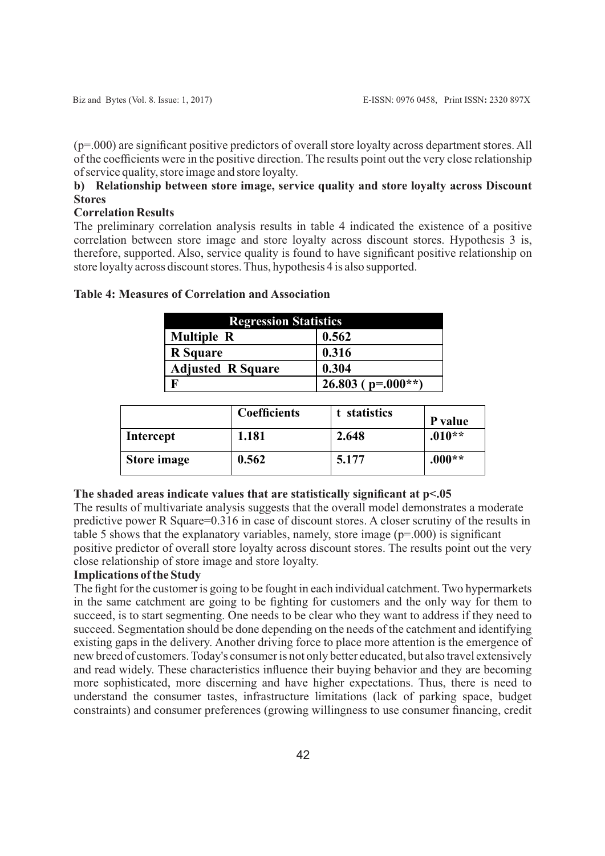(p=.000) are significant positive predictors of overall store loyalty across department stores. All of the coefficients were in the positive direction. The results point out the very close relationship of service quality, store image and store loyalty.

# **b) Relationship between store image, service quality and store loyalty across Discount Stores**

#### **Correlation Results**

The preliminary correlation analysis results in table 4 indicated the existence of a positive correlation between store image and store loyalty across discount stores. Hypothesis 3 is, therefore, supported. Also, service quality is found to have significant positive relationship on store loyalty across discount stores. Thus, hypothesis 4 is also supported.

| <b>Regression Statistics</b> |                       |  |  |
|------------------------------|-----------------------|--|--|
| <b>Multiple R</b><br>0.562   |                       |  |  |
| <b>R</b> Square              | 0.316                 |  |  |
| <b>Adjusted R Square</b>     | 0.304                 |  |  |
|                              | 26.803 ( $p=.000**$ ) |  |  |

# **Table 4: Measures of Correlation and Association**

|             | <b>Coefficients</b> | t statistics | P value  |
|-------------|---------------------|--------------|----------|
| Intercept   | 1.181               | 2.648        | $.010**$ |
| Store image | 0.562               | 5.177        | $.000**$ |

#### **The shaded areas indicate values that are statistically significant at p<.05**

The results of multivariate analysis suggests that the overall model demonstrates a moderate predictive power R Square=0.316 in case of discount stores. A closer scrutiny of the results in table 5 shows that the explanatory variables, namely, store image  $(p=000)$  is significant positive predictor of overall store loyalty across discount stores. The results point out the very close relationship of store image and store loyalty.

#### **Implications of the Study**

The fight for the customer is going to be fought in each individual catchment. Two hypermarkets in the same catchment are going to be fighting for customers and the only way for them to succeed, is to start segmenting. One needs to be clear who they want to address if they need to succeed. Segmentation should be done depending on the needs of the catchment and identifying existing gaps in the delivery. Another driving force to place more attention is the emergence of new breed of customers. Today's consumer is not only better educated, but also travel extensively and read widely. These characteristics influence their buying behavior and they are becoming more sophisticated, more discerning and have higher expectations. Thus, there is need to understand the consumer tastes, infrastructure limitations (lack of parking space, budget constraints) and consumer preferences (growing willingness to use consumer financing, credit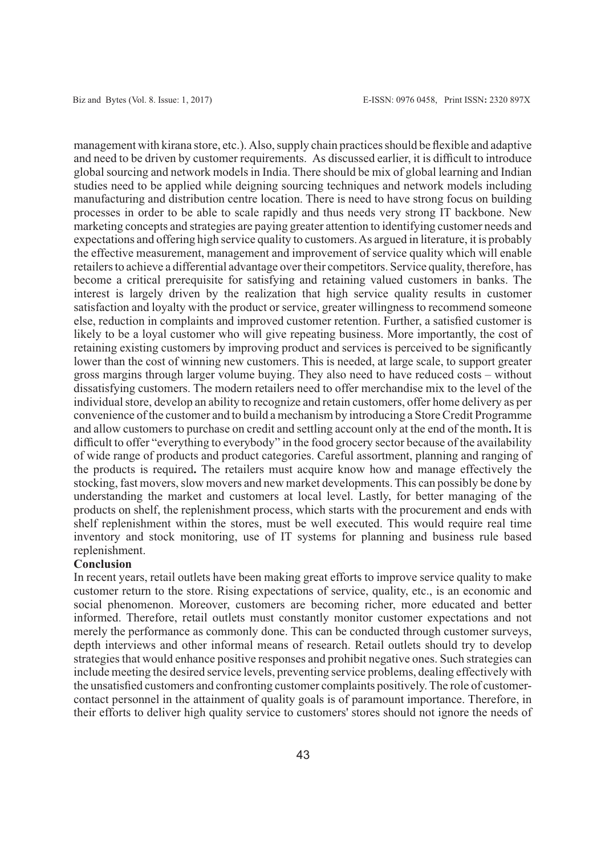management with kirana store, etc.). Also, supply chain practices should be flexible and adaptive and need to be driven by customer requirements. As discussed earlier, it is difficult to introduce global sourcing and network models in India. There should be mix of global learning and Indian studies need to be applied while deigning sourcing techniques and network models including manufacturing and distribution centre location. There is need to have strong focus on building processes in order to be able to scale rapidly and thus needs very strong IT backbone. New marketing concepts and strategies are paying greater attention to identifying customer needs and expectations and offering high service quality to customers. As argued in literature, it is probably the effective measurement, management and improvement of service quality which will enable retailers to achieve a differential advantage over their competitors. Service quality, therefore, has become a critical prerequisite for satisfying and retaining valued customers in banks. The interest is largely driven by the realization that high service quality results in customer satisfaction and loyalty with the product or service, greater willingness to recommend someone else, reduction in complaints and improved customer retention. Further, a satisfied customer is likely to be a loyal customer who will give repeating business. More importantly, the cost of retaining existing customers by improving product and services is perceived to be significantly lower than the cost of winning new customers. This is needed, at large scale, to support greater gross margins through larger volume buying. They also need to have reduced costs – without dissatisfying customers. The modern retailers need to offer merchandise mix to the level of the individual store, develop an ability to recognize and retain customers, offer home delivery as per convenience of the customer and to build a mechanism by introducing a Store Credit Programme and allow customers to purchase on credit and settling account only at the end of the month**.** It is difficult to offer "everything to everybody" in the food grocery sector because of the availability of wide range of products and product categories. Careful assortment, planning and ranging of the products is required**.** The retailers must acquire know how and manage effectively the stocking, fast movers, slow movers and new market developments. This can possibly be done by understanding the market and customers at local level. Lastly, for better managing of the products on shelf, the replenishment process, which starts with the procurement and ends with shelf replenishment within the stores, must be well executed. This would require real time inventory and stock monitoring, use of IT systems for planning and business rule based replenishment.

#### **Conclusion**

In recent years, retail outlets have been making great efforts to improve service quality to make customer return to the store. Rising expectations of service, quality, etc., is an economic and social phenomenon. Moreover, customers are becoming richer, more educated and better informed. Therefore, retail outlets must constantly monitor customer expectations and not merely the performance as commonly done. This can be conducted through customer surveys, depth interviews and other informal means of research. Retail outlets should try to develop strategies that would enhance positive responses and prohibit negative ones. Such strategies can include meeting the desired service levels, preventing service problems, dealing effectively with the unsatisfied customers and confronting customer complaints positively. The role of customercontact personnel in the attainment of quality goals is of paramount importance. Therefore, in their efforts to deliver high quality service to customers' stores should not ignore the needs of